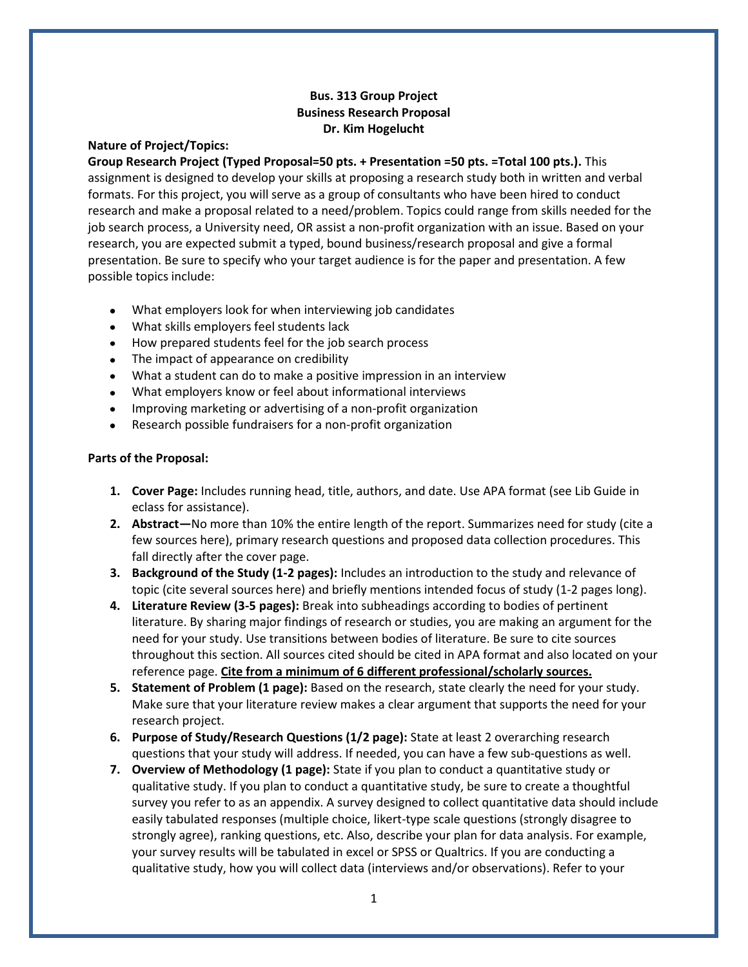## **Bus. 313 Group Project Business Research Proposal Dr. Kim Hogelucht**

## **Nature of Project/Topics:**

**Group Research Project (Typed Proposal=50 pts. + Presentation =50 pts. =Total 100 pts.).** This assignment is designed to develop your skills at proposing a research study both in written and verbal formats. For this project, you will serve as a group of consultants who have been hired to conduct research and make a proposal related to a need/problem. Topics could range from skills needed for the job search process, a University need, OR assist a non-profit organization with an issue. Based on your research, you are expected submit a typed, bound business/research proposal and give a formal presentation. Be sure to specify who your target audience is for the paper and presentation. A few possible topics include:

- What employers look for when interviewing job candidates
- What skills employers feel students lack
- How prepared students feel for the job search process
- The impact of appearance on credibility
- What a student can do to make a positive impression in an interview
- What employers know or feel about informational interviews
- Improving marketing or advertising of a non-profit organization
- Research possible fundraisers for a non-profit organization

## **Parts of the Proposal:**

- **1. Cover Page:** Includes running head, title, authors, and date. Use APA format (see Lib Guide in eclass for assistance).
- **2. Abstract—**No more than 10% the entire length of the report. Summarizes need for study (cite a few sources here), primary research questions and proposed data collection procedures. This fall directly after the cover page.
- **3. Background of the Study (1-2 pages):** Includes an introduction to the study and relevance of topic (cite several sources here) and briefly mentions intended focus of study (1-2 pages long).
- **4. Literature Review (3-5 pages):** Break into subheadings according to bodies of pertinent literature. By sharing major findings of research or studies, you are making an argument for the need for your study. Use transitions between bodies of literature. Be sure to cite sources throughout this section. All sources cited should be cited in APA format and also located on your reference page. **Cite from a minimum of 6 different professional/scholarly sources.**
- **5. Statement of Problem (1 page):** Based on the research, state clearly the need for your study. Make sure that your literature review makes a clear argument that supports the need for your research project.
- **6. Purpose of Study/Research Questions (1/2 page):** State at least 2 overarching research questions that your study will address. If needed, you can have a few sub-questions as well.
- **7. Overview of Methodology (1 page):** State if you plan to conduct a quantitative study or qualitative study. If you plan to conduct a quantitative study, be sure to create a thoughtful survey you refer to as an appendix. A survey designed to collect quantitative data should include easily tabulated responses (multiple choice, likert-type scale questions (strongly disagree to strongly agree), ranking questions, etc. Also, describe your plan for data analysis. For example, your survey results will be tabulated in excel or SPSS or Qualtrics. If you are conducting a qualitative study, how you will collect data (interviews and/or observations). Refer to your